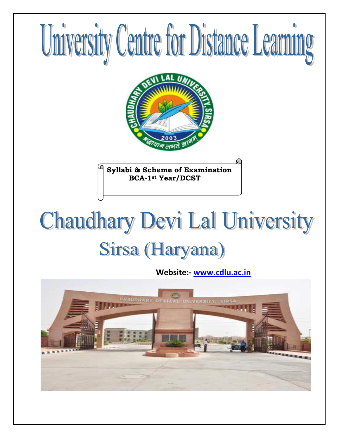

# **Chaudhary Devi Lal University** Sirsa (Haryana)

 **Website:- [www.cdlu.ac.in](http://www.cdlu.ac.in/)**

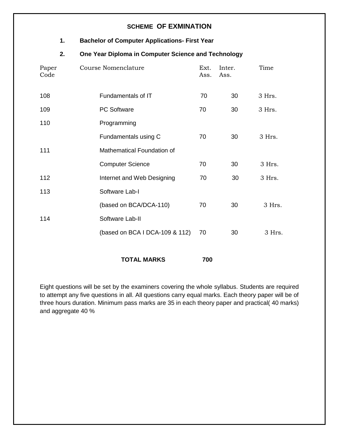## **SCHEME OF EXMINATION**

## **1. Bachelor of Computer Applications- First Year**

## **2. One Year Diploma in Computer Science and Technology**

| Paper<br>Code | Course Nomenclature            | Ext.<br>Ass. | Inter.<br>Ass. | Time   |
|---------------|--------------------------------|--------------|----------------|--------|
| 108           | Fundamentals of IT             | 70           | 30             | 3 Hrs. |
| 109           | <b>PC Software</b>             | 70           | 30             | 3 Hrs. |
| 110           | Programming                    |              |                |        |
|               | Fundamentals using C           | 70           | 30             | 3 Hrs. |
| 111           | Mathematical Foundation of     |              |                |        |
|               | <b>Computer Science</b>        | 70           | 30             | 3 Hrs. |
| 112           | Internet and Web Designing     | 70           | 30             | 3 Hrs. |
| 113           | Software Lab-I                 |              |                |        |
|               | (based on BCA/DCA-110)         | 70           | 30             | 3 Hrs. |
| 114           | Software Lab-II                |              |                |        |
|               | (based on BCA I DCA-109 & 112) | 70           | 30             | 3 Hrs. |
|               |                                |              |                |        |

**TOTAL MARKS 700** 

Eight questions will be set by the examiners covering the whole syllabus. Students are required to attempt any five questions in all. All questions carry equal marks. Each theory paper will be of three hours duration. Minimum pass marks are 35 in each theory paper and practical( 40 marks) and aggregate 40 %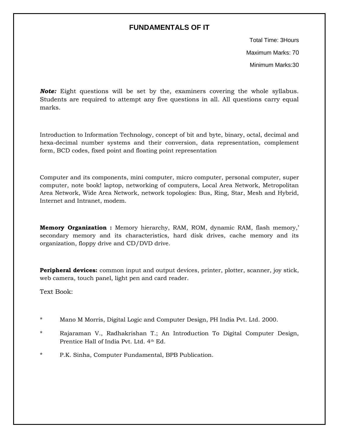## **FUNDAMENTALS OF IT**

Total Time: 3Hours Maximum Marks: 70 Minimum Marks:30

**Note:** Eight questions will be set by the, examiners covering the whole syllabus. Students are required to attempt any five questions in all. All questions carry equal marks.

Introduction to Information Technology, concept of bit and byte, binary, octal, decimal and hexa-decimal number systems and their conversion, data representation, complement form, BCD codes, fixed point and floating point representation

Computer and its components, mini computer, micro computer, personal computer, super computer, note book! laptop, networking of computers, Local Area Network, Metropolitan Area Network, Wide Area Network, network topologies: Bus, Ring, Star, Mesh and Hybrid, Internet and Intranet, modem.

**Memory Organization :** Memory hierarchy, RAM, ROM, dynamic RAM, flash memory,' secondary memory and its characteristics, hard disk drives, cache memory and its organization, floppy drive and CD/DVD drive.

**Peripheral devices:** common input and output devices, printer, plotter, scanner, joy stick, web camera, touch panel, light pen and card reader.

Text Book:

- \* Mano M Morris, Digital Logic and Computer Design, PH India Pvt. Ltd. 2000.
- \* Rajaraman V., Radhakrishan T.; An Introduction To Digital Computer Design, Prentice Hall of India Pvt. Ltd. 4<sup>th</sup> Ed.
- \* P.K. Sinha, Computer Fundamental, BPB Publication.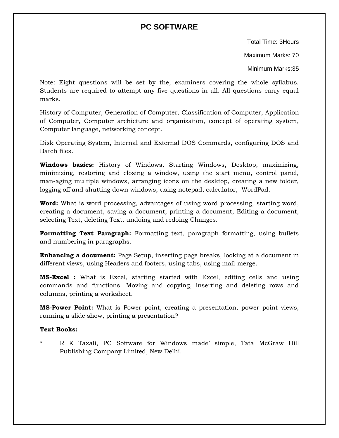# **PC SOFTWARE**

Total Time: 3Hours

Maximum Marks: 70

Minimum Marks:35

Note: Eight questions will be set by the, examiners covering the whole syllabus. Students are required to attempt any five questions in all. All questions carry equal marks.

History of Computer, Generation of Computer, Classification of Computer, Application of Computer, Computer archicture and organization, concept of operating system, Computer language, networking concept.

Disk Operating System, Internal and External DOS Commards, configuring DOS and Batch files.

**Windows basics:** History of Windows, Starting Windows, Desktop, maximizing, minimizing, restoring and closing a window, using the start menu, control panel, man-aging multiple windows, arranging icons on the desktop, creating a new folder, logging off and shutting down windows, using notepad, calculator, WordPad.

**Word:** What is word processing, advantages of using word processing, starting word, creating a document, saving a document, printing a document, Editing a document, selecting Text, deleting Text, undoing and redoing Changes.

**Formatting Text Paragraph:** Formatting text, paragraph formatting, using bullets and numbering in paragraphs.

**Enhancing a document:** Page Setup, inserting page breaks, looking at a document m different views, using Headers and footers, using tabs, using mail-merge.

**MS-Excel :** What is Excel, starting started with Excel, editing cells and using commands and functions. Moving and copying, inserting and deleting rows and columns, printing a worksheet.

**MS-Power Point:** What is Power point, creating a presentation, power point views, running a slide show, printing a presentation?

#### **Text Books:**

\* R K Taxali, PC Software for Windows made' simple, Tata McGraw Hill Publishing Company Limited, New Delhi.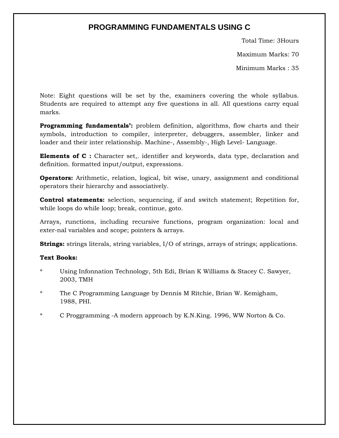# **PROGRAMMING FUNDAMENTALS USING C**

Total Time: 3Hours

Maximum Marks: 70

Minimum Marks : 35

Note: Eight questions will be set by the, examiners covering the whole syllabus. Students are required to attempt any five questions in all. All questions carry equal marks.

**Programming fundamentals':** problem definition, algorithms, flow charts and their symbols, introduction to compiler, interpreter, debuggers, assembler, linker and loader and their inter relationship. Machine-, Assembly-, High Level- Language.

**Elements of C**: Character set,. identifier and keywords, data type, declaration and definition. formatted input/output, expressions.

**Operators:** Arithmetic, relation, logical, bit wise, unary, assignment and conditional operators their hierarchy and associatively.

**Control statements:** selection, sequencing, if and switch statement; Repetition for, while loops do while loop; break, continue, goto.

Arrays, runctions, including recursive functions, program organization: local and exter-nal variables and scope; pointers & arrays.

**Strings:** strings literals, string variables, I/O of strings, arrays of strings; applications.

#### **Text Books:**

- Using Infonnation Technology, 5th Edi, Brian K Williams & Stacey C. Sawyer, 2003, TMH
- \* The C Programming Language by Dennis M Ritchie, Brian W. Kemigham, 1988, PHI.
- C Proggramming -A modern approach by K.N.King. 1996, WW Norton  $\&$  Co.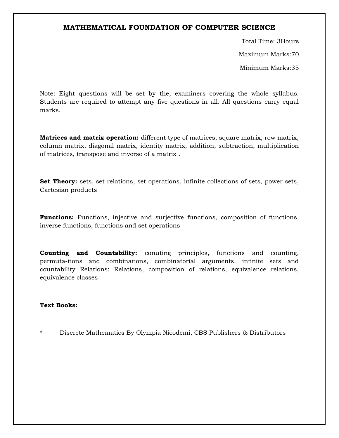## **MATHEMATICAL FOUNDATION OF COMPUTER SCIENCE**

Total Time: 3Hours Maximum Marks:70 Minimum Marks:35

Note: Eight questions will be set by the, examiners covering the whole syllabus. Students are required to attempt any five questions in all. All questions carry equal marks.

**Matrices and matrix operation:** different type of matrices, square matrix, row matrix, column matrix, diagonal matrix, identity matrix, addition, subtraction, multiplication of matrices, transpose and inverse of a matrix .

**Set Theory:** sets, set relations, set operations, infinite collections of sets, power sets, Cartesian products

**Functions:** Functions, injective and surjective functions, composition of functions, inverse functions, functions and set operations

**Counting and Countability:** conuting principles, functions and counting, permuta-tions and combinations, combinatorial arguments, infinite sets and countability Relations: Relations, composition of relations, equivalence relations, equivalence classes

#### **Text Books:**

\* Discrete Mathematics By Olympia Nicodemi, CBS Publishers & Distributors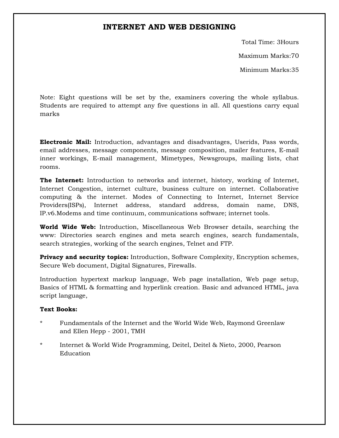## **INTERNET AND WEB DESIGNING**

Total Time: 3Hours Maximum Marks:70

Minimum Marks:35

Note: Eight questions will be set by the, examiners covering the whole syllabus. Students are required to attempt any five questions in all. All questions carry equal marks

**Electronic Mail:** Introduction, advantages and disadvantages, Userids, Pass words, email addresses, message components, message composition, mailer features, E-mail inner workings, E-mail management, Mimetypes, Newsgroups, mailing lists, chat rooms.

**The Internet:** Introduction to networks and internet, history, working of Internet, Internet Congestion, internet culture, business culture on internet. Collaborative computing & the internet. Modes of Connecting to Internet, Internet Service Providers(ISPs), Internet address, standard address, domain name, DNS, IP.v6.Modems and time continuum, communications software; internet tools.

**World Wide Web:** Introduction, Miscellaneous Web Browser details, searching the www: Directories search engines and meta search engines, search fundamentals, search strategies, working of the search engines, Telnet and FTP.

**Privacy and security topics:** Introduction, Software Complexity, Encryption schemes, Secure Web document, Digital Signatures, Firewalls.

Introduction hypertext markup language, Web page installation, Web page setup, Basics of HTML & formatting and hyperlink creation. Basic and advanced HTML, java script language,

#### **Text Books:**

- Fundamentals of the Internet and the World Wide Web, Raymond Greenlaw and Ellen Hepp - 2001, TMH
- \* Internet & World Wide Programming, Deitel, Deitel & Nieto, 2000, Pearson Education